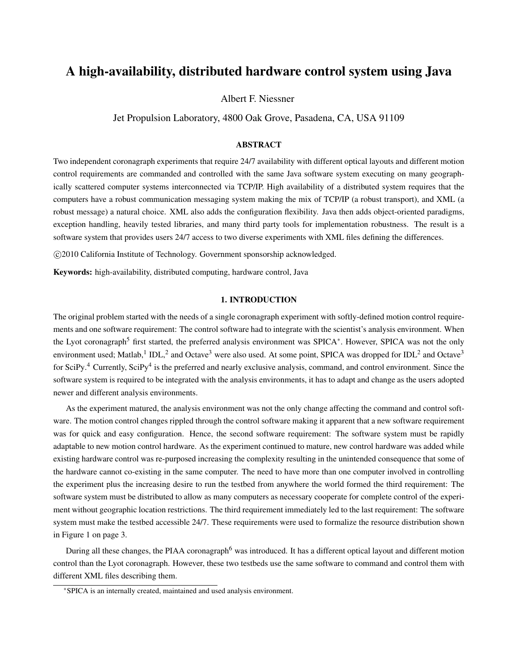# A high-availability, distributed hardware control system using Java

Albert F. Niessner

Jet Propulsion Laboratory, 4800 Oak Grove, Pasadena, CA, USA 91109

# ABSTRACT

Two independent coronagraph experiments that require 24/7 availability with different optical layouts and different motion control requirements are commanded and controlled with the same Java software system executing on many geographically scattered computer systems interconnected via TCP/IP. High availability of a distributed system requires that the computers have a robust communication messaging system making the mix of TCP/IP (a robust transport), and XML (a robust message) a natural choice. XML also adds the configuration flexibility. Java then adds object-oriented paradigms, exception handling, heavily tested libraries, and many third party tools for implementation robustness. The result is a software system that provides users 24/7 access to two diverse experiments with XML files defining the differences.

c 2010 California Institute of Technology. Government sponsorship acknowledged.

Keywords: high-availability, distributed computing, hardware control, Java

# 1. INTRODUCTION

The original problem started with the needs of a single coronagraph experiment with softly-defined motion control requirements and one software requirement: The control software had to integrate with the scientist's analysis environment. When the Lyot coronagraph<sup>5</sup> first started, the preferred analysis environment was SPICA<sup>∗</sup>. However, SPICA was not the only environment used; Matlab,<sup>1</sup> IDL,<sup>2</sup> and Octave<sup>3</sup> were also used. At some point, SPICA was dropped for IDL<sup>2</sup> and Octave<sup>3</sup> for SciPy.<sup>4</sup> Currently, SciPy<sup>4</sup> is the preferred and nearly exclusive analysis, command, and control environment. Since the software system is required to be integrated with the analysis environments, it has to adapt and change as the users adopted newer and different analysis environments.

As the experiment matured, the analysis environment was not the only change affecting the command and control software. The motion control changes rippled through the control software making it apparent that a new software requirement was for quick and easy configuration. Hence, the second software requirement: The software system must be rapidly adaptable to new motion control hardware. As the experiment continued to mature, new control hardware was added while existing hardware control was re-purposed increasing the complexity resulting in the unintended consequence that some of the hardware cannot co-existing in the same computer. The need to have more than one computer involved in controlling the experiment plus the increasing desire to run the testbed from anywhere the world formed the third requirement: The software system must be distributed to allow as many computers as necessary cooperate for complete control of the experiment without geographic location restrictions. The third requirement immediately led to the last requirement: The software system must make the testbed accessible 24/7. These requirements were used to formalize the resource distribution shown in Figure 1 on page 3.

During all these changes, the PIAA coronagraph<sup>6</sup> was introduced. It has a different optical layout and different motion control than the Lyot coronagraph. However, these two testbeds use the same software to command and control them with different XML files describing them.

<sup>∗</sup>SPICA is an internally created, maintained and used analysis environment.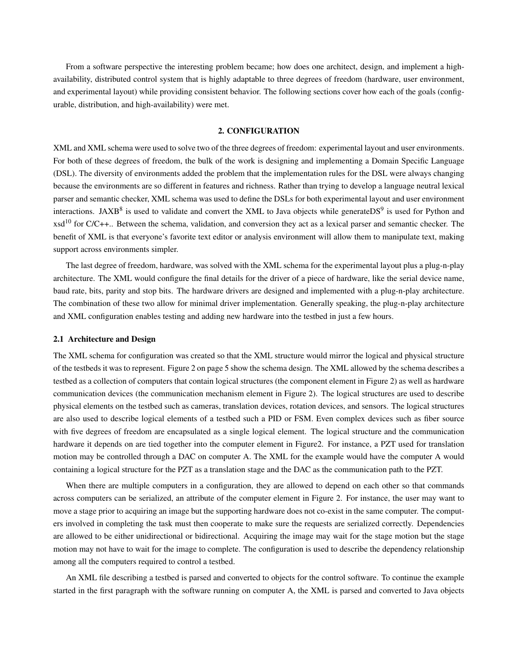From a software perspective the interesting problem became; how does one architect, design, and implement a highavailability, distributed control system that is highly adaptable to three degrees of freedom (hardware, user environment, and experimental layout) while providing consistent behavior. The following sections cover how each of the goals (configurable, distribution, and high-availability) were met.

## 2. CONFIGURATION

XML and XML schema were used to solve two of the three degrees of freedom: experimental layout and user environments. For both of these degrees of freedom, the bulk of the work is designing and implementing a Domain Specific Language (DSL). The diversity of environments added the problem that the implementation rules for the DSL were always changing because the environments are so different in features and richness. Rather than trying to develop a language neutral lexical parser and semantic checker, XML schema was used to define the DSLs for both experimental layout and user environment interactions. JAXB<sup>8</sup> is used to validate and convert the XML to Java objects while generateDS<sup>9</sup> is used for Python and  $xsd<sup>10</sup>$  for C/C++.. Between the schema, validation, and conversion they act as a lexical parser and semantic checker. The benefit of XML is that everyone's favorite text editor or analysis environment will allow them to manipulate text, making support across environments simpler.

The last degree of freedom, hardware, was solved with the XML schema for the experimental layout plus a plug-n-play architecture. The XML would configure the final details for the driver of a piece of hardware, like the serial device name, baud rate, bits, parity and stop bits. The hardware drivers are designed and implemented with a plug-n-play architecture. The combination of these two allow for minimal driver implementation. Generally speaking, the plug-n-play architecture and XML configuration enables testing and adding new hardware into the testbed in just a few hours.

#### 2.1 Architecture and Design

The XML schema for configuration was created so that the XML structure would mirror the logical and physical structure of the testbeds it was to represent. Figure 2 on page 5 show the schema design. The XML allowed by the schema describes a testbed as a collection of computers that contain logical structures (the component element in Figure 2) as well as hardware communication devices (the communication mechanism element in Figure 2). The logical structures are used to describe physical elements on the testbed such as cameras, translation devices, rotation devices, and sensors. The logical structures are also used to describe logical elements of a testbed such a PID or FSM. Even complex devices such as fiber source with five degrees of freedom are encapsulated as a single logical element. The logical structure and the communication hardware it depends on are tied together into the computer element in Figure2. For instance, a PZT used for translation motion may be controlled through a DAC on computer A. The XML for the example would have the computer A would containing a logical structure for the PZT as a translation stage and the DAC as the communication path to the PZT.

When there are multiple computers in a configuration, they are allowed to depend on each other so that commands across computers can be serialized, an attribute of the computer element in Figure 2. For instance, the user may want to move a stage prior to acquiring an image but the supporting hardware does not co-exist in the same computer. The computers involved in completing the task must then cooperate to make sure the requests are serialized correctly. Dependencies are allowed to be either unidirectional or bidirectional. Acquiring the image may wait for the stage motion but the stage motion may not have to wait for the image to complete. The configuration is used to describe the dependency relationship among all the computers required to control a testbed.

An XML file describing a testbed is parsed and converted to objects for the control software. To continue the example started in the first paragraph with the software running on computer A, the XML is parsed and converted to Java objects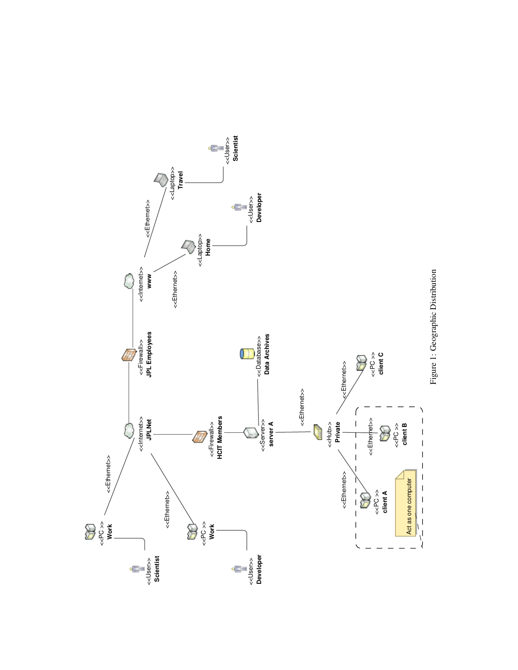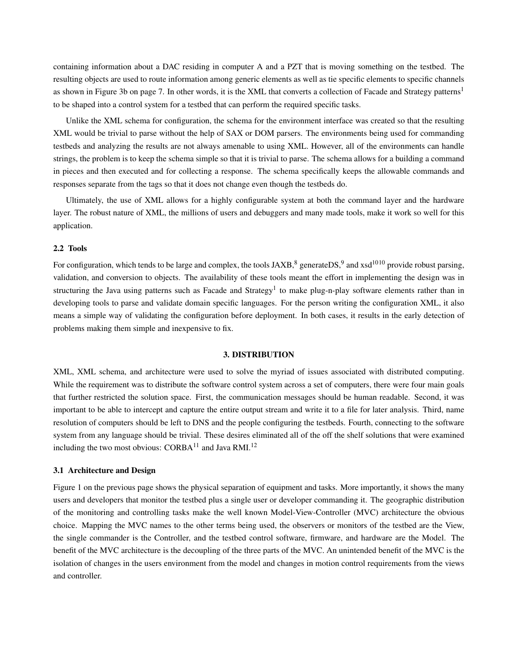containing information about a DAC residing in computer A and a PZT that is moving something on the testbed. The resulting objects are used to route information among generic elements as well as tie specific elements to specific channels as shown in Figure 3b on page 7. In other words, it is the XML that converts a collection of Facade and Strategy patterns<sup>1</sup> to be shaped into a control system for a testbed that can perform the required specific tasks.

Unlike the XML schema for configuration, the schema for the environment interface was created so that the resulting XML would be trivial to parse without the help of SAX or DOM parsers. The environments being used for commanding testbeds and analyzing the results are not always amenable to using XML. However, all of the environments can handle strings, the problem is to keep the schema simple so that it is trivial to parse. The schema allows for a building a command in pieces and then executed and for collecting a response. The schema specifically keeps the allowable commands and responses separate from the tags so that it does not change even though the testbeds do.

Ultimately, the use of XML allows for a highly configurable system at both the command layer and the hardware layer. The robust nature of XML, the millions of users and debuggers and many made tools, make it work so well for this application.

## 2.2 Tools

For configuration, which tends to be large and complex, the tools JAXB, $^8$  generateDS, $^9$  and xsd<sup>1010</sup> provide robust parsing, validation, and conversion to objects. The availability of these tools meant the effort in implementing the design was in structuring the Java using patterns such as Facade and Strategy<sup>1</sup> to make plug-n-play software elements rather than in developing tools to parse and validate domain specific languages. For the person writing the configuration XML, it also means a simple way of validating the configuration before deployment. In both cases, it results in the early detection of problems making them simple and inexpensive to fix.

## 3. DISTRIBUTION

XML, XML schema, and architecture were used to solve the myriad of issues associated with distributed computing. While the requirement was to distribute the software control system across a set of computers, there were four main goals that further restricted the solution space. First, the communication messages should be human readable. Second, it was important to be able to intercept and capture the entire output stream and write it to a file for later analysis. Third, name resolution of computers should be left to DNS and the people configuring the testbeds. Fourth, connecting to the software system from any language should be trivial. These desires eliminated all of the off the shelf solutions that were examined including the two most obvious:  $CORBA<sup>11</sup>$  and Java RMI.<sup>12</sup>

## 3.1 Architecture and Design

Figure 1 on the previous page shows the physical separation of equipment and tasks. More importantly, it shows the many users and developers that monitor the testbed plus a single user or developer commanding it. The geographic distribution of the monitoring and controlling tasks make the well known Model-View-Controller (MVC) architecture the obvious choice. Mapping the MVC names to the other terms being used, the observers or monitors of the testbed are the View, the single commander is the Controller, and the testbed control software, firmware, and hardware are the Model. The benefit of the MVC architecture is the decoupling of the three parts of the MVC. An unintended benefit of the MVC is the isolation of changes in the users environment from the model and changes in motion control requirements from the views and controller.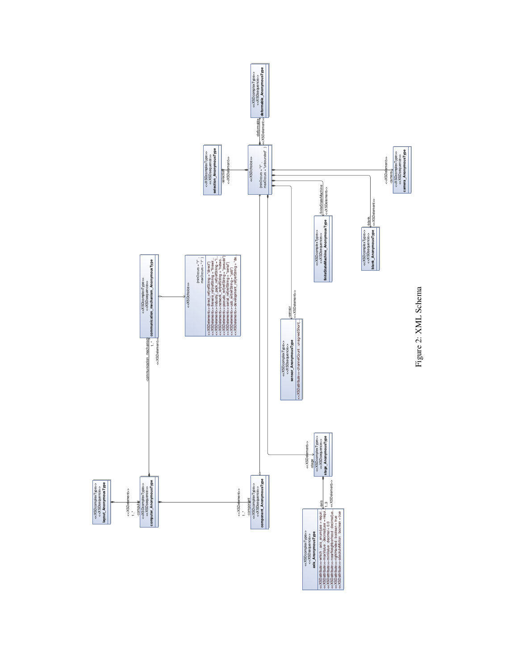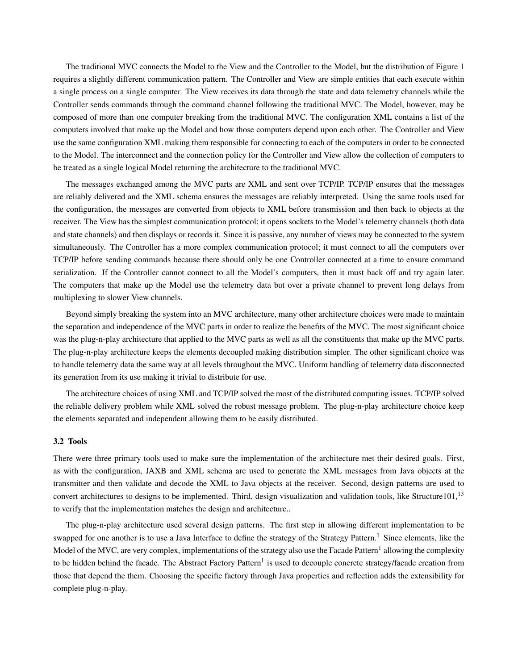The traditional MVC connects the Model to the View and the Controller to the Model, but the distribution of Figure 1 requires a slightly different communication pattern. The Controller and View are simple entities that each execute within a single process on a single computer. The View receives its data through the state and data telemetry channels while the Controller sends commands through the command channel following the traditional MVC. The Model, however, may be composed of more than one computer breaking from the traditional MVC. The configuration XML contains a list of the computers involved that make up the Model and how those computers depend upon each other. The Controller and View use the same configuration XML making them responsible for connecting to each of the computers in order to be connected to the Model. The interconnect and the connection policy for the Controller and View allow the collection of computers to be treated as a single logical Model returning the architecture to the traditional MVC.

The messages exchanged among the MVC parts are XML and sent over TCP/IP. TCP/IP ensures that the messages are reliably delivered and the XML schema ensures the messages are reliably interpreted. Using the same tools used for the configuration, the messages are converted from objects to XML before transmission and then back to objects at the receiver. The View has the simplest communication protocol; it opens sockets to the Model's telemetry channels (both data and state channels) and then displays or records it. Since it is passive, any number of views may be connected to the system simultaneously. The Controller has a more complex communication protocol; it must connect to all the computers over TCP/IP before sending commands because there should only be one Controller connected at a time to ensure command serialization. If the Controller cannot connect to all the Model's computers, then it must back off and try again later. The computers that make up the Model use the telemetry data but over a private channel to prevent long delays from multiplexing to slower View channels.

Beyond simply breaking the system into an MVC architecture, many other architecture choices were made to maintain the separation and independence of the MVC parts in order to realize the benefits of the MVC. The most significant choice was the plug-n-play architecture that applied to the MVC parts as well as all the constituents that make up the MVC parts. The plug-n-play architecture keeps the elements decoupled making distribution simpler. The other significant choice was to handle telemetry data the same way at all levels throughout the MVC. Uniform handling of telemetry data disconnected its generation from its use making it trivial to distribute for use.

The architecture choices of using XML and TCP/IP solved the most of the distributed computing issues. TCP/IP solved the reliable delivery problem while XML solved the robust message problem. The plug-n-play architecture choice keep the elements separated and independent allowing them to be easily distributed.

## 3.2 Tools

There were three primary tools used to make sure the implementation of the architecture met their desired goals. First, as with the configuration, JAXB and XML schema are used to generate the XML messages from Java objects at the transmitter and then validate and decode the XML to Java objects at the receiver. Second, design patterns are used to convert architectures to designs to be implemented. Third, design visualization and validation tools, like Structure101, $^{13}$ to verify that the implementation matches the design and architecture..

The plug-n-play architecture used several design patterns. The first step in allowing different implementation to be swapped for one another is to use a Java Interface to define the strategy of the Strategy Pattern.<sup>1</sup> Since elements, like the Model of the MVC, are very complex, implementations of the strategy also use the Facade Pattern<sup>1</sup> allowing the complexity to be hidden behind the facade. The Abstract Factory Pattern<sup>1</sup> is used to decouple concrete strategy/facade creation from those that depend the them. Choosing the specific factory through Java properties and reflection adds the extensibility for complete plug-n-play.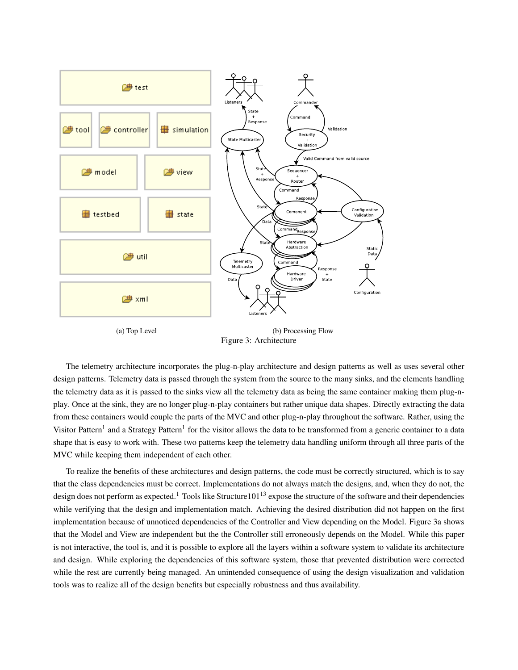

Figure 3: Architecture

The telemetry architecture incorporates the plug-n-play architecture and design patterns as well as uses several other design patterns. Telemetry data is passed through the system from the source to the many sinks, and the elements handling the telemetry data as it is passed to the sinks view all the telemetry data as being the same container making them plug-nplay. Once at the sink, they are no longer plug-n-play containers but rather unique data shapes. Directly extracting the data from these containers would couple the parts of the MVC and other plug-n-play throughout the software. Rather, using the Visitor Pattern<sup>1</sup> and a Strategy Pattern<sup>1</sup> for the visitor allows the data to be transformed from a generic container to a data shape that is easy to work with. These two patterns keep the telemetry data handling uniform through all three parts of the MVC while keeping them independent of each other.

To realize the benefits of these architectures and design patterns, the code must be correctly structured, which is to say that the class dependencies must be correct. Implementations do not always match the designs, and, when they do not, the design does not perform as expected.<sup>1</sup> Tools like Structure101<sup>13</sup> expose the structure of the software and their dependencies while verifying that the design and implementation match. Achieving the desired distribution did not happen on the first implementation because of unnoticed dependencies of the Controller and View depending on the Model. Figure 3a shows that the Model and View are independent but the the Controller still erroneously depends on the Model. While this paper is not interactive, the tool is, and it is possible to explore all the layers within a software system to validate its architecture and design. While exploring the dependencies of this software system, those that prevented distribution were corrected while the rest are currently being managed. An unintended consequence of using the design visualization and validation tools was to realize all of the design benefits but especially robustness and thus availability.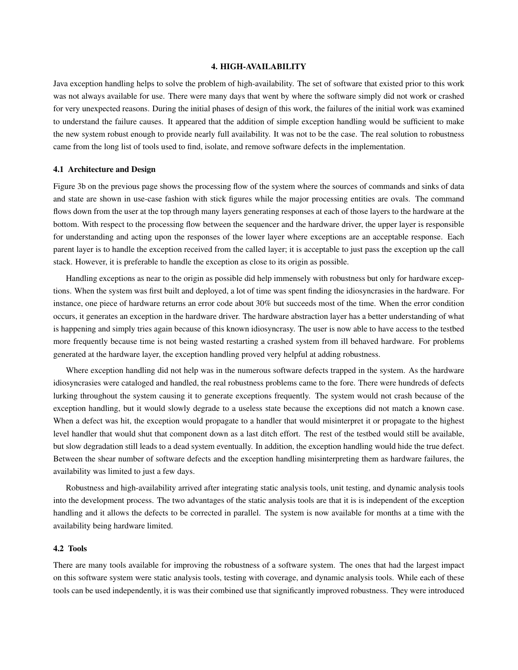#### 4. HIGH-AVAILABILITY

Java exception handling helps to solve the problem of high-availability. The set of software that existed prior to this work was not always available for use. There were many days that went by where the software simply did not work or crashed for very unexpected reasons. During the initial phases of design of this work, the failures of the initial work was examined to understand the failure causes. It appeared that the addition of simple exception handling would be sufficient to make the new system robust enough to provide nearly full availability. It was not to be the case. The real solution to robustness came from the long list of tools used to find, isolate, and remove software defects in the implementation.

## 4.1 Architecture and Design

Figure 3b on the previous page shows the processing flow of the system where the sources of commands and sinks of data and state are shown in use-case fashion with stick figures while the major processing entities are ovals. The command flows down from the user at the top through many layers generating responses at each of those layers to the hardware at the bottom. With respect to the processing flow between the sequencer and the hardware driver, the upper layer is responsible for understanding and acting upon the responses of the lower layer where exceptions are an acceptable response. Each parent layer is to handle the exception received from the called layer; it is acceptable to just pass the exception up the call stack. However, it is preferable to handle the exception as close to its origin as possible.

Handling exceptions as near to the origin as possible did help immensely with robustness but only for hardware exceptions. When the system was first built and deployed, a lot of time was spent finding the idiosyncrasies in the hardware. For instance, one piece of hardware returns an error code about 30% but succeeds most of the time. When the error condition occurs, it generates an exception in the hardware driver. The hardware abstraction layer has a better understanding of what is happening and simply tries again because of this known idiosyncrasy. The user is now able to have access to the testbed more frequently because time is not being wasted restarting a crashed system from ill behaved hardware. For problems generated at the hardware layer, the exception handling proved very helpful at adding robustness.

Where exception handling did not help was in the numerous software defects trapped in the system. As the hardware idiosyncrasies were cataloged and handled, the real robustness problems came to the fore. There were hundreds of defects lurking throughout the system causing it to generate exceptions frequently. The system would not crash because of the exception handling, but it would slowly degrade to a useless state because the exceptions did not match a known case. When a defect was hit, the exception would propagate to a handler that would misinterpret it or propagate to the highest level handler that would shut that component down as a last ditch effort. The rest of the testbed would still be available, but slow degradation still leads to a dead system eventually. In addition, the exception handling would hide the true defect. Between the shear number of software defects and the exception handling misinterpreting them as hardware failures, the availability was limited to just a few days.

Robustness and high-availability arrived after integrating static analysis tools, unit testing, and dynamic analysis tools into the development process. The two advantages of the static analysis tools are that it is is independent of the exception handling and it allows the defects to be corrected in parallel. The system is now available for months at a time with the availability being hardware limited.

# 4.2 Tools

There are many tools available for improving the robustness of a software system. The ones that had the largest impact on this software system were static analysis tools, testing with coverage, and dynamic analysis tools. While each of these tools can be used independently, it is was their combined use that significantly improved robustness. They were introduced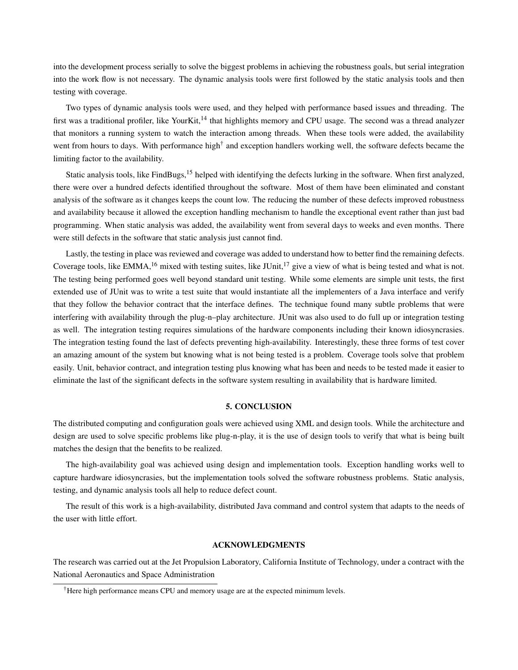into the development process serially to solve the biggest problems in achieving the robustness goals, but serial integration into the work flow is not necessary. The dynamic analysis tools were first followed by the static analysis tools and then testing with coverage.

Two types of dynamic analysis tools were used, and they helped with performance based issues and threading. The first was a traditional profiler, like YourKit,<sup>14</sup> that highlights memory and CPU usage. The second was a thread analyzer that monitors a running system to watch the interaction among threads. When these tools were added, the availability went from hours to days. With performance high<sup>†</sup> and exception handlers working well, the software defects became the limiting factor to the availability.

Static analysis tools, like FindBugs,<sup>15</sup> helped with identifying the defects lurking in the software. When first analyzed, there were over a hundred defects identified throughout the software. Most of them have been eliminated and constant analysis of the software as it changes keeps the count low. The reducing the number of these defects improved robustness and availability because it allowed the exception handling mechanism to handle the exceptional event rather than just bad programming. When static analysis was added, the availability went from several days to weeks and even months. There were still defects in the software that static analysis just cannot find.

Lastly, the testing in place was reviewed and coverage was added to understand how to better find the remaining defects. Coverage tools, like EMMA,<sup>16</sup> mixed with testing suites, like JUnit,<sup>17</sup> give a view of what is being tested and what is not. The testing being performed goes well beyond standard unit testing. While some elements are simple unit tests, the first extended use of JUnit was to write a test suite that would instantiate all the implementers of a Java interface and verify that they follow the behavior contract that the interface defines. The technique found many subtle problems that were interfering with availability through the plug-n–play architecture. JUnit was also used to do full up or integration testing as well. The integration testing requires simulations of the hardware components including their known idiosyncrasies. The integration testing found the last of defects preventing high-availability. Interestingly, these three forms of test cover an amazing amount of the system but knowing what is not being tested is a problem. Coverage tools solve that problem easily. Unit, behavior contract, and integration testing plus knowing what has been and needs to be tested made it easier to eliminate the last of the significant defects in the software system resulting in availability that is hardware limited.

#### 5. CONCLUSION

The distributed computing and configuration goals were achieved using XML and design tools. While the architecture and design are used to solve specific problems like plug-n-play, it is the use of design tools to verify that what is being built matches the design that the benefits to be realized.

The high-availability goal was achieved using design and implementation tools. Exception handling works well to capture hardware idiosyncrasies, but the implementation tools solved the software robustness problems. Static analysis, testing, and dynamic analysis tools all help to reduce defect count.

The result of this work is a high-availability, distributed Java command and control system that adapts to the needs of the user with little effort.

# ACKNOWLEDGMENTS

The research was carried out at the Jet Propulsion Laboratory, California Institute of Technology, under a contract with the National Aeronautics and Space Administration

<sup>†</sup>Here high performance means CPU and memory usage are at the expected minimum levels.